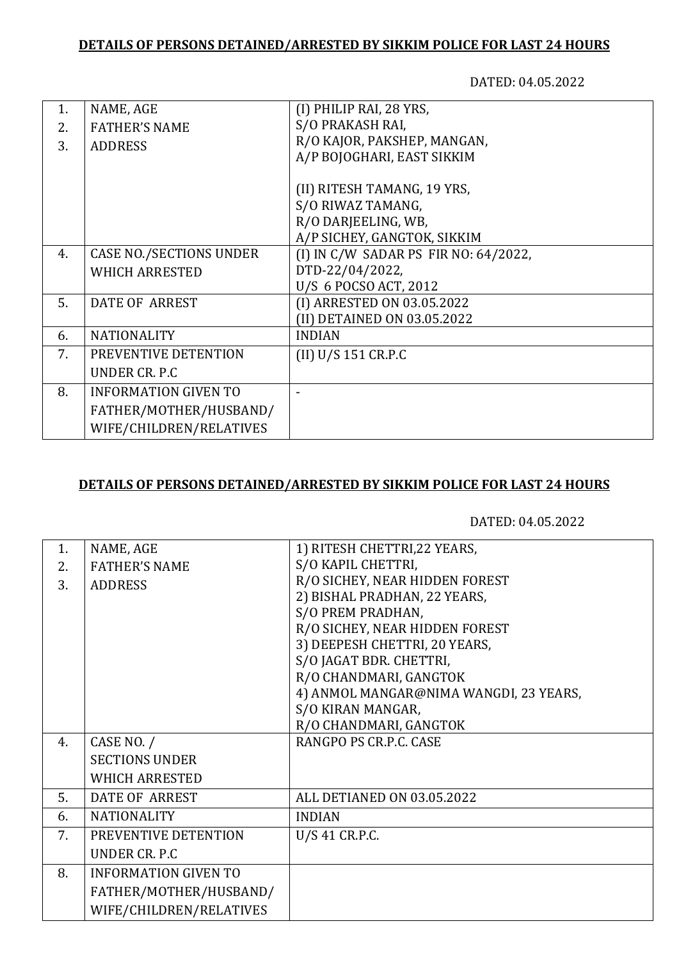## **DETAILS OF PERSONS DETAINED/ARRESTED BY SIKKIM POLICE FOR LAST 24 HOURS**

DATED: 04.05.2022

| 1. | NAME, AGE                      | (I) PHILIP RAI, 28 YRS,              |
|----|--------------------------------|--------------------------------------|
| 2. | <b>FATHER'S NAME</b>           | S/O PRAKASH RAI,                     |
| 3. | <b>ADDRESS</b>                 | R/O KAJOR, PAKSHEP, MANGAN,          |
|    |                                | A/P BOJOGHARI, EAST SIKKIM           |
|    |                                |                                      |
|    |                                | (II) RITESH TAMANG, 19 YRS,          |
|    |                                | S/O RIWAZ TAMANG,                    |
|    |                                | R/O DARJEELING, WB,                  |
|    |                                | A/P SICHEY, GANGTOK, SIKKIM          |
| 4. | <b>CASE NO./SECTIONS UNDER</b> | (I) IN C/W SADAR PS FIR NO: 64/2022, |
|    | <b>WHICH ARRESTED</b>          | DTD-22/04/2022,                      |
|    |                                | U/S 6 POCSO ACT, 2012                |
| 5. | <b>DATE OF ARREST</b>          | (I) ARRESTED ON 03.05.2022           |
|    |                                | (II) DETAINED ON 03.05.2022          |
| 6. | <b>NATIONALITY</b>             | <b>INDIAN</b>                        |
| 7. | PREVENTIVE DETENTION           | (II) U/S 151 CR.P.C                  |
|    | UNDER CR. P.C                  |                                      |
| 8. | <b>INFORMATION GIVEN TO</b>    |                                      |
|    | FATHER/MOTHER/HUSBAND/         |                                      |
|    | WIFE/CHILDREN/RELATIVES        |                                      |
|    |                                |                                      |

## **DETAILS OF PERSONS DETAINED/ARRESTED BY SIKKIM POLICE FOR LAST 24 HOURS**

DATED: 04.05.2022

| 1. | NAME, AGE                   | 1) RITESH CHETTRI, 22 YEARS,           |
|----|-----------------------------|----------------------------------------|
| 2. | <b>FATHER'S NAME</b>        | S/O KAPIL CHETTRI,                     |
| 3. | <b>ADDRESS</b>              | R/O SICHEY, NEAR HIDDEN FOREST         |
|    |                             | 2) BISHAL PRADHAN, 22 YEARS,           |
|    |                             | S/O PREM PRADHAN,                      |
|    |                             | R/O SICHEY, NEAR HIDDEN FOREST         |
|    |                             | 3) DEEPESH CHETTRI, 20 YEARS,          |
|    |                             | S/O JAGAT BDR. CHETTRI,                |
|    |                             | R/O CHANDMARI, GANGTOK                 |
|    |                             | 4) ANMOL MANGAR@NIMA WANGDI, 23 YEARS, |
|    |                             | S/O KIRAN MANGAR,                      |
|    |                             | R/O CHANDMARI, GANGTOK                 |
| 4. | CASE NO. /                  | RANGPO PS CR.P.C. CASE                 |
|    | <b>SECTIONS UNDER</b>       |                                        |
|    | <b>WHICH ARRESTED</b>       |                                        |
| 5. | <b>DATE OF ARREST</b>       | ALL DETIANED ON 03.05.2022             |
| 6. | <b>NATIONALITY</b>          | <b>INDIAN</b>                          |
| 7. | PREVENTIVE DETENTION        | U/S 41 CR.P.C.                         |
|    | UNDER CR. P.C.              |                                        |
| 8. | <b>INFORMATION GIVEN TO</b> |                                        |
|    | FATHER/MOTHER/HUSBAND/      |                                        |
|    | WIFE/CHILDREN/RELATIVES     |                                        |